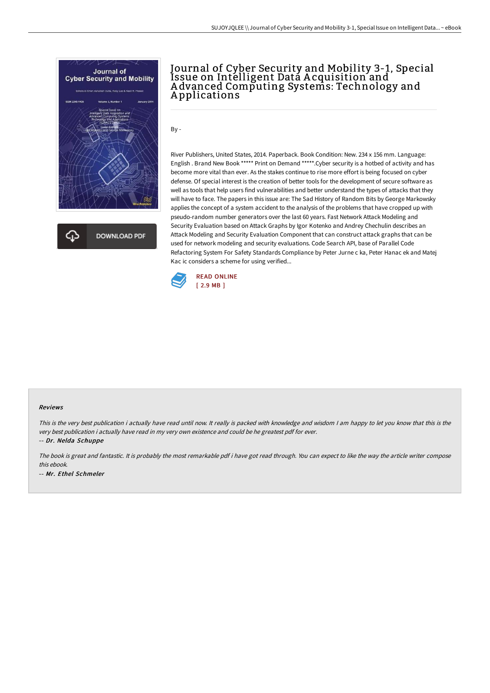

# Journal of Cyber Security and Mobility 3-1, Special Issue on Intelligent Data A cquisition and A dvanced Computing Systems: Technology and A pplications

By -

River Publishers, United States, 2014. Paperback. Book Condition: New. 234 x 156 mm. Language: English . Brand New Book \*\*\*\*\* Print on Demand \*\*\*\*\*.Cyber security is a hotbed of activity and has become more vital than ever. As the stakes continue to rise more effort is being focused on cyber defense. Of special interest is the creation of better tools for the development of secure software as well as tools that help users find vulnerabilities and better understand the types of attacks that they will have to face. The papers in this issue are: The Sad History of Random Bits by George Markowsky applies the concept of a system accident to the analysis of the problems that have cropped up with pseudo-random number generators over the last 60 years. Fast Network Attack Modeling and Security Evaluation based on Attack Graphs by Igor Kotenko and Andrey Chechulin describes an Attack Modeling and Security Evaluation Component that can construct attack graphs that can be used for network modeling and security evaluations. Code Search API, base of Parallel Code Refactoring System For Safety Standards Compliance by Peter Jurne c ka, Peter Hanac ek and Matej Kac ic considers a scheme for using verified...



#### Reviews

This is the very best publication i actually have read until now. It really is packed with knowledge and wisdom I am happy to let you know that this is the very best publication i actually have read in my very own existence and could be he greatest pdf for ever.

-- Dr. Nelda Schuppe

The book is great and fantastic. It is probably the most remarkable pdf i have got read through. You can expect to like the way the article writer compose this ebook. -- Mr. Ethel Schmeler